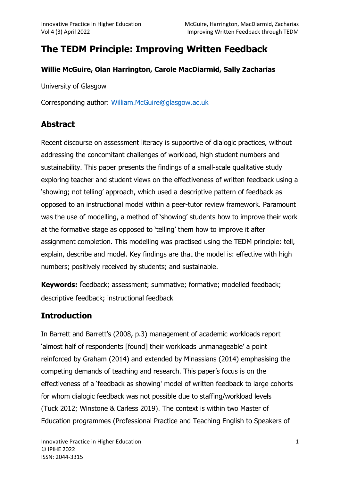# The TEDM Principle: Improving Written Feedback

#### Willie McGuire, Olan Harrington, Carole MacDiarmid, Sally Zacharias

University of Glasgow

Corresponding author: William.McGuire@glasgow.ac.uk

### Abstract

Recent discourse on assessment literacy is supportive of dialogic practices, without addressing the concomitant challenges of workload, high student numbers and sustainability. This paper presents the findings of a small-scale qualitative study exploring teacher and student views on the effectiveness of written feedback using a 'showing; not telling' approach, which used a descriptive pattern of feedback as opposed to an instructional model within a peer-tutor review framework. Paramount was the use of modelling, a method of 'showing' students how to improve their work at the formative stage as opposed to 'telling' them how to improve it after assignment completion. This modelling was practised using the TEDM principle: tell, explain, describe and model. Key findings are that the model is: effective with high numbers; positively received by students; and sustainable.

Keywords: feedback; assessment; summative; formative; modelled feedback; descriptive feedback; instructional feedback

# **Introduction**

In Barrett and Barrett's (2008, p.3) management of academic workloads report 'almost half of respondents [found] their workloads unmanageable' a point reinforced by Graham (2014) and extended by Minassians (2014) emphasising the competing demands of teaching and research. This paper's focus is on the effectiveness of a 'feedback as showing' model of written feedback to large cohorts for whom dialogic feedback was not possible due to staffing/workload levels (Tuck 2012; Winstone & Carless 2019). The context is within two Master of Education programmes (Professional Practice and Teaching English to Speakers of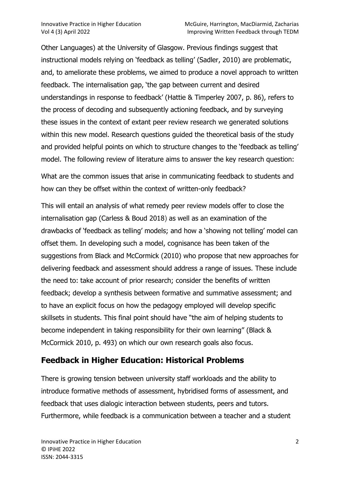Other Languages) at the University of Glasgow. Previous findings suggest that instructional models relying on 'feedback as telling' (Sadler, 2010) are problematic, and, to ameliorate these problems, we aimed to produce a novel approach to written feedback. The internalisation gap, 'the gap between current and desired understandings in response to feedback' (Hattie & Timperley 2007, p. 86), refers to the process of decoding and subsequently actioning feedback, and by surveying these issues in the context of extant peer review research we generated solutions within this new model. Research questions guided the theoretical basis of the study and provided helpful points on which to structure changes to the 'feedback as telling' model. The following review of literature aims to answer the key research question:

What are the common issues that arise in communicating feedback to students and how can they be offset within the context of written-only feedback?

This will entail an analysis of what remedy peer review models offer to close the internalisation gap (Carless & Boud 2018) as well as an examination of the drawbacks of 'feedback as telling' models; and how a 'showing not telling' model can offset them. In developing such a model, cognisance has been taken of the suggestions from Black and McCormick (2010) who propose that new approaches for delivering feedback and assessment should address a range of issues. These include the need to: take account of prior research; consider the benefits of written feedback; develop a synthesis between formative and summative assessment; and to have an explicit focus on how the pedagogy employed will develop specific skillsets in students. This final point should have "the aim of helping students to become independent in taking responsibility for their own learning" (Black & McCormick 2010, p. 493) on which our own research goals also focus.

# Feedback in Higher Education: Historical Problems

There is growing tension between university staff workloads and the ability to introduce formative methods of assessment, hybridised forms of assessment, and feedback that uses dialogic interaction between students, peers and tutors. Furthermore, while feedback is a communication between a teacher and a student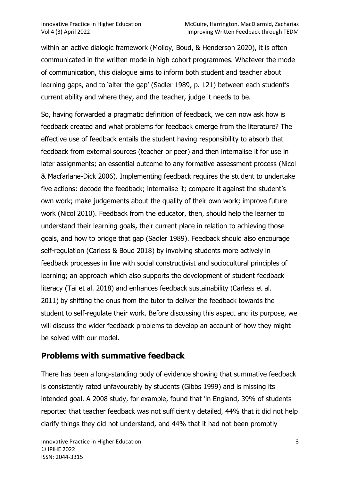within an active dialogic framework (Molloy, Boud, & Henderson 2020), it is often communicated in the written mode in high cohort programmes. Whatever the mode of communication, this dialogue aims to inform both student and teacher about learning gaps, and to 'alter the gap' (Sadler 1989, p. 121) between each student's current ability and where they, and the teacher, judge it needs to be.

So, having forwarded a pragmatic definition of feedback, we can now ask how is feedback created and what problems for feedback emerge from the literature? The effective use of feedback entails the student having responsibility to absorb that feedback from external sources (teacher or peer) and then internalise it for use in later assignments; an essential outcome to any formative assessment process (Nicol & Macfarlane-Dick 2006). Implementing feedback requires the student to undertake five actions: decode the feedback; internalise it; compare it against the student's own work; make judgements about the quality of their own work; improve future work (Nicol 2010). Feedback from the educator, then, should help the learner to understand their learning goals, their current place in relation to achieving those goals, and how to bridge that gap (Sadler 1989). Feedback should also encourage self-regulation (Carless & Boud 2018) by involving students more actively in feedback processes in line with social constructivist and sociocultural principles of learning; an approach which also supports the development of student feedback literacy (Tai et al. 2018) and enhances feedback sustainability (Carless et al. 2011) by shifting the onus from the tutor to deliver the feedback towards the student to self‐regulate their work. Before discussing this aspect and its purpose, we will discuss the wider feedback problems to develop an account of how they might be solved with our model.

# Problems with summative feedback

There has been a long-standing body of evidence showing that summative feedback is consistently rated unfavourably by students (Gibbs 1999) and is missing its intended goal. A 2008 study, for example, found that 'in England, 39% of students reported that teacher feedback was not sufficiently detailed, 44% that it did not help clarify things they did not understand, and 44% that it had not been promptly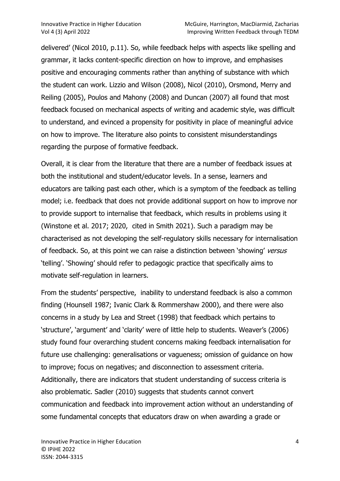delivered' (Nicol 2010, p.11). So, while feedback helps with aspects like spelling and grammar, it lacks content-specific direction on how to improve, and emphasises positive and encouraging comments rather than anything of substance with which the student can work. Lizzio and Wilson (2008), Nicol (2010), Orsmond, Merry and Reiling (2005), Poulos and Mahony (2008) and Duncan (2007) all found that most feedback focused on mechanical aspects of writing and academic style, was difficult to understand, and evinced a propensity for positivity in place of meaningful advice on how to improve. The literature also points to consistent misunderstandings regarding the purpose of formative feedback.

Overall, it is clear from the literature that there are a number of feedback issues at both the institutional and student/educator levels. In a sense, learners and educators are talking past each other, which is a symptom of the feedback as telling model; i.e. feedback that does not provide additional support on how to improve nor to provide support to internalise that feedback, which results in problems using it (Winstone et al. 2017; 2020, cited in Smith 2021). Such a paradigm may be characterised as not developing the self-regulatory skills necessary for internalisation of feedback. So, at this point we can raise a distinction between 'showing' versus 'telling'. 'Showing' should refer to pedagogic practice that specifically aims to motivate self-regulation in learners.

From the students' perspective, inability to understand feedback is also a common finding (Hounsell 1987; Ivanic Clark & Rommershaw 2000), and there were also concerns in a study by Lea and Street (1998) that feedback which pertains to 'structure', 'argument' and 'clarity' were of little help to students. Weaver's (2006) study found four overarching student concerns making feedback internalisation for future use challenging: generalisations or vagueness; omission of guidance on how to improve; focus on negatives; and disconnection to assessment criteria. Additionally, there are indicators that student understanding of success criteria is also problematic. Sadler (2010) suggests that students cannot convert communication and feedback into improvement action without an understanding of some fundamental concepts that educators draw on when awarding a grade or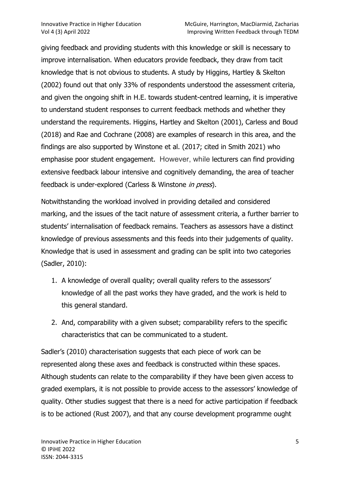giving feedback and providing students with this knowledge or skill is necessary to improve internalisation. When educators provide feedback, they draw from tacit knowledge that is not obvious to students. A study by Higgins, Hartley & Skelton (2002) found out that only 33% of respondents understood the assessment criteria, and given the ongoing shift in H.E. towards student-centred learning, it is imperative to understand student responses to current feedback methods and whether they understand the requirements. Higgins, Hartley and Skelton (2001), Carless and Boud (2018) and Rae and Cochrane (2008) are examples of research in this area, and the findings are also supported by Winstone et al. (2017; cited in Smith 2021) who emphasise poor student engagement. However, while lecturers can find providing extensive feedback labour intensive and cognitively demanding, the area of teacher feedback is under-explored (Carless & Winstone in press).

Notwithstanding the workload involved in providing detailed and considered marking, and the issues of the tacit nature of assessment criteria, a further barrier to students' internalisation of feedback remains. Teachers as assessors have a distinct knowledge of previous assessments and this feeds into their judgements of quality. Knowledge that is used in assessment and grading can be split into two categories (Sadler, 2010):

- 1. A knowledge of overall quality; overall quality refers to the assessors' knowledge of all the past works they have graded, and the work is held to this general standard.
- 2. And, comparability with a given subset; comparability refers to the specific characteristics that can be communicated to a student.

Sadler's (2010) characterisation suggests that each piece of work can be represented along these axes and feedback is constructed within these spaces. Although students can relate to the comparability if they have been given access to graded exemplars, it is not possible to provide access to the assessors' knowledge of quality. Other studies suggest that there is a need for active participation if feedback is to be actioned (Rust 2007), and that any course development programme ought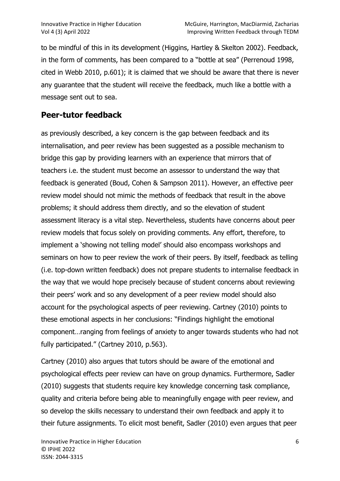to be mindful of this in its development (Higgins, Hartley & Skelton 2002). Feedback, in the form of comments, has been compared to a "bottle at sea" (Perrenoud 1998, cited in Webb 2010, p.601); it is claimed that we should be aware that there is never any guarantee that the student will receive the feedback, much like a bottle with a message sent out to sea.

### Peer-tutor feedback

as previously described, a key concern is the gap between feedback and its internalisation, and peer review has been suggested as a possible mechanism to bridge this gap by providing learners with an experience that mirrors that of teachers i.e. the student must become an assessor to understand the way that feedback is generated (Boud, Cohen & Sampson 2011). However, an effective peer review model should not mimic the methods of feedback that result in the above problems; it should address them directly, and so the elevation of student assessment literacy is a vital step. Nevertheless, students have concerns about peer review models that focus solely on providing comments. Any effort, therefore, to implement a 'showing not telling model' should also encompass workshops and seminars on how to peer review the work of their peers. By itself, feedback as telling (i.e. top-down written feedback) does not prepare students to internalise feedback in the way that we would hope precisely because of student concerns about reviewing their peers' work and so any development of a peer review model should also account for the psychological aspects of peer reviewing. Cartney (2010) points to these emotional aspects in her conclusions: "Findings highlight the emotional component…ranging from feelings of anxiety to anger towards students who had not fully participated." (Cartney 2010, p.563).

Cartney (2010) also argues that tutors should be aware of the emotional and psychological effects peer review can have on group dynamics. Furthermore, Sadler (2010) suggests that students require key knowledge concerning task compliance, quality and criteria before being able to meaningfully engage with peer review, and so develop the skills necessary to understand their own feedback and apply it to their future assignments. To elicit most benefit, Sadler (2010) even argues that peer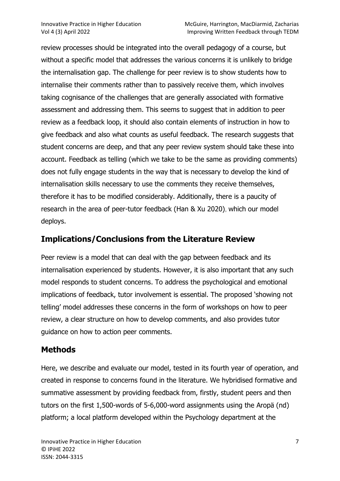review processes should be integrated into the overall pedagogy of a course, but without a specific model that addresses the various concerns it is unlikely to bridge the internalisation gap. The challenge for peer review is to show students how to internalise their comments rather than to passively receive them, which involves taking cognisance of the challenges that are generally associated with formative assessment and addressing them. This seems to suggest that in addition to peer review as a feedback loop, it should also contain elements of instruction in how to give feedback and also what counts as useful feedback. The research suggests that student concerns are deep, and that any peer review system should take these into account. Feedback as telling (which we take to be the same as providing comments) does not fully engage students in the way that is necessary to develop the kind of internalisation skills necessary to use the comments they receive themselves, therefore it has to be modified considerably. Additionally, there is a paucity of research in the area of peer-tutor feedback (Han & Xu 2020), which our model deploys.

#### Implications/Conclusions from the Literature Review

Peer review is a model that can deal with the gap between feedback and its internalisation experienced by students. However, it is also important that any such model responds to student concerns. To address the psychological and emotional implications of feedback, tutor involvement is essential. The proposed 'showing not telling' model addresses these concerns in the form of workshops on how to peer review, a clear structure on how to develop comments, and also provides tutor guidance on how to action peer comments.

### **Methods**

Here, we describe and evaluate our model, tested in its fourth year of operation, and created in response to concerns found in the literature. We hybridised formative and summative assessment by providing feedback from, firstly, student peers and then tutors on the first 1,500-words of 5-6,000-word assignments using the Aropä (nd) platform; a local platform developed within the Psychology department at the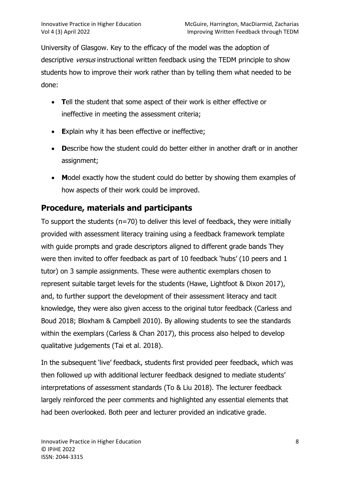University of Glasgow. Key to the efficacy of the model was the adoption of descriptive *versus* instructional written feedback using the TEDM principle to show students how to improve their work rather than by telling them what needed to be done:

- Tell the student that some aspect of their work is either effective or ineffective in meeting the assessment criteria;
- **Explain why it has been effective or ineffective;**
- Describe how the student could do better either in another draft or in another assignment;
- Model exactly how the student could do better by showing them examples of how aspects of their work could be improved.

# Procedure, materials and participants

To support the students (n=70) to deliver this level of feedback, they were initially provided with assessment literacy training using a feedback framework template with guide prompts and grade descriptors aligned to different grade bands They were then invited to offer feedback as part of 10 feedback 'hubs' (10 peers and 1 tutor) on 3 sample assignments. These were authentic exemplars chosen to represent suitable target levels for the students (Hawe, Lightfoot & Dixon 2017), and, to further support the development of their assessment literacy and tacit knowledge, they were also given access to the original tutor feedback (Carless and Boud 2018; Bloxham & Campbell 2010). By allowing students to see the standards within the exemplars (Carless & Chan 2017), this process also helped to develop qualitative judgements (Tai et al. 2018).

In the subsequent 'live' feedback, students first provided peer feedback, which was then followed up with additional lecturer feedback designed to mediate students' interpretations of assessment standards (To & Liu 2018). The lecturer feedback largely reinforced the peer comments and highlighted any essential elements that had been overlooked. Both peer and lecturer provided an indicative grade.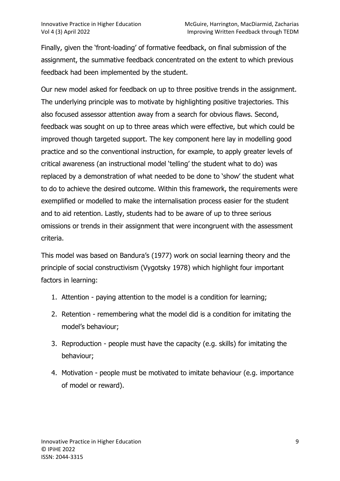Finally, given the 'front-loading' of formative feedback, on final submission of the assignment, the summative feedback concentrated on the extent to which previous feedback had been implemented by the student.

Our new model asked for feedback on up to three positive trends in the assignment. The underlying principle was to motivate by highlighting positive trajectories. This also focused assessor attention away from a search for obvious flaws. Second, feedback was sought on up to three areas which were effective, but which could be improved though targeted support. The key component here lay in modelling good practice and so the conventional instruction, for example, to apply greater levels of critical awareness (an instructional model 'telling' the student what to do) was replaced by a demonstration of what needed to be done to 'show' the student what to do to achieve the desired outcome. Within this framework, the requirements were exemplified or modelled to make the internalisation process easier for the student and to aid retention. Lastly, students had to be aware of up to three serious omissions or trends in their assignment that were incongruent with the assessment criteria.

This model was based on Bandura's (1977) work on social learning theory and the principle of social constructivism (Vygotsky 1978) which highlight four important factors in learning:

- 1. Attention paying attention to the model is a condition for learning;
- 2. Retention remembering what the model did is a condition for imitating the model's behaviour;
- 3. Reproduction people must have the capacity (e.g. skills) for imitating the behaviour;
- 4. Motivation people must be motivated to imitate behaviour (e.g. importance of model or reward).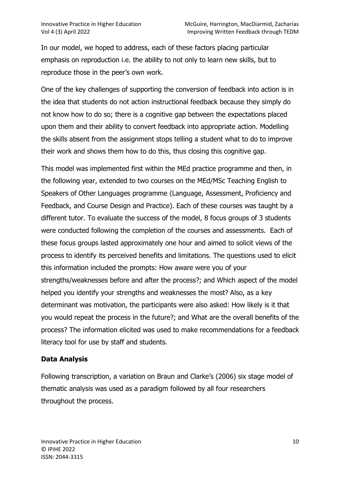In our model, we hoped to address, each of these factors placing particular emphasis on reproduction i.e. the ability to not only to learn new skills, but to reproduce those in the peer's own work.

One of the key challenges of supporting the conversion of feedback into action is in the idea that students do not action instructional feedback because they simply do not know how to do so; there is a cognitive gap between the expectations placed upon them and their ability to convert feedback into appropriate action. Modelling the skills absent from the assignment stops telling a student what to do to improve their work and shows them how to do this, thus closing this cognitive gap.

This model was implemented first within the MEd practice programme and then, in the following year, extended to two courses on the MEd/MSc Teaching English to Speakers of Other Languages programme (Language, Assessment, Proficiency and Feedback, and Course Design and Practice). Each of these courses was taught by a different tutor. To evaluate the success of the model, 8 focus groups of 3 students were conducted following the completion of the courses and assessments. Each of these focus groups lasted approximately one hour and aimed to solicit views of the process to identify its perceived benefits and limitations. The questions used to elicit this information included the prompts: How aware were you of your strengths/weaknesses before and after the process?; and Which aspect of the model helped you identify your strengths and weaknesses the most? Also, as a key determinant was motivation, the participants were also asked: How likely is it that you would repeat the process in the future?; and What are the overall benefits of the process? The information elicited was used to make recommendations for a feedback literacy tool for use by staff and students.

#### Data Analysis

Following transcription, a variation on Braun and Clarke's (2006) six stage model of thematic analysis was used as a paradigm followed by all four researchers throughout the process.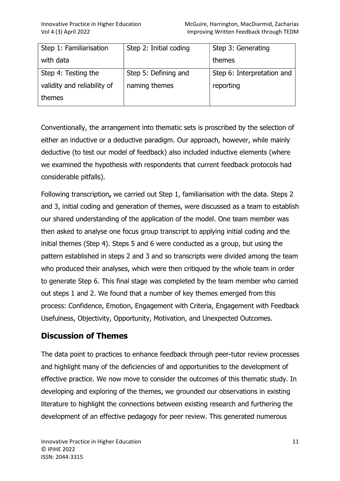| Step 1: Familiarisation     | Step 2: Initial coding | Step 3: Generating         |
|-----------------------------|------------------------|----------------------------|
| with data                   |                        | themes                     |
| Step 4: Testing the         | Step 5: Defining and   | Step 6: Interpretation and |
| validity and reliability of | naming themes          | reporting                  |
| themes                      |                        |                            |

Conventionally, the arrangement into thematic sets is proscribed by the selection of either an inductive or a deductive paradigm. Our approach, however, while mainly deductive (to test our model of feedback) also included inductive elements (where we examined the hypothesis with respondents that current feedback protocols had considerable pitfalls).

Following transcription, we carried out Step 1, familiarisation with the data. Steps 2 and 3, initial coding and generation of themes, were discussed as a team to establish our shared understanding of the application of the model. One team member was then asked to analyse one focus group transcript to applying initial coding and the initial themes (Step 4). Steps 5 and 6 were conducted as a group, but using the pattern established in steps 2 and 3 and so transcripts were divided among the team who produced their analyses, which were then critiqued by the whole team in order to generate Step 6. This final stage was completed by the team member who carried out steps 1 and 2. We found that a number of key themes emerged from this process: Confidence, Emotion, Engagement with Criteria, Engagement with Feedback Usefulness, Objectivity, Opportunity, Motivation, and Unexpected Outcomes.

### Discussion of Themes

The data point to practices to enhance feedback through peer-tutor review processes and highlight many of the deficiencies of and opportunities to the development of effective practice. We now move to consider the outcomes of this thematic study. In developing and exploring of the themes, we grounded our observations in existing literature to highlight the connections between existing research and furthering the development of an effective pedagogy for peer review. This generated numerous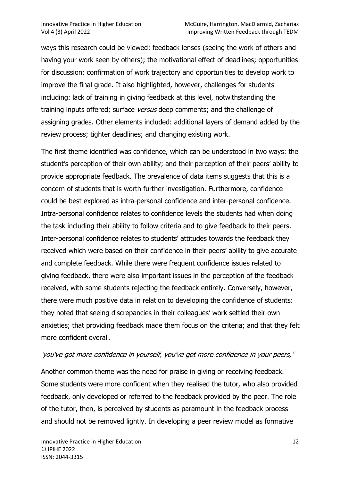ways this research could be viewed: feedback lenses (seeing the work of others and having your work seen by others); the motivational effect of deadlines; opportunities for discussion; confirmation of work trajectory and opportunities to develop work to improve the final grade. It also highlighted, however, challenges for students including: lack of training in giving feedback at this level, notwithstanding the training inputs offered; surface versus deep comments; and the challenge of assigning grades. Other elements included: additional layers of demand added by the review process; tighter deadlines; and changing existing work.

The first theme identified was confidence, which can be understood in two ways: the student's perception of their own ability; and their perception of their peers' ability to provide appropriate feedback. The prevalence of data items suggests that this is a concern of students that is worth further investigation. Furthermore, confidence could be best explored as intra-personal confidence and inter-personal confidence. Intra-personal confidence relates to confidence levels the students had when doing the task including their ability to follow criteria and to give feedback to their peers. Inter-personal confidence relates to students' attitudes towards the feedback they received which were based on their confidence in their peers' ability to give accurate and complete feedback. While there were frequent confidence issues related to giving feedback, there were also important issues in the perception of the feedback received, with some students rejecting the feedback entirely. Conversely, however, there were much positive data in relation to developing the confidence of students: they noted that seeing discrepancies in their colleagues' work settled their own anxieties; that providing feedback made them focus on the criteria; and that they felt more confident overall.

#### 'you've got more confidence in yourself, you've got more confidence in your peers,'

Another common theme was the need for praise in giving or receiving feedback. Some students were more confident when they realised the tutor, who also provided feedback, only developed or referred to the feedback provided by the peer. The role of the tutor, then, is perceived by students as paramount in the feedback process and should not be removed lightly. In developing a peer review model as formative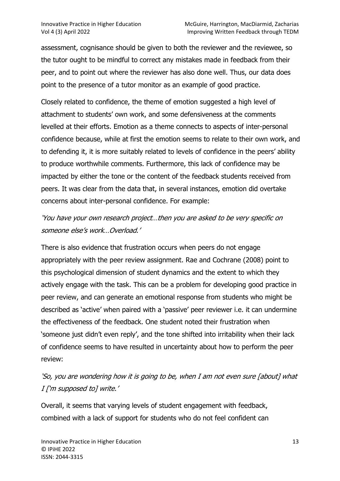assessment, cognisance should be given to both the reviewer and the reviewee, so the tutor ought to be mindful to correct any mistakes made in feedback from their peer, and to point out where the reviewer has also done well. Thus, our data does point to the presence of a tutor monitor as an example of good practice.

Closely related to confidence, the theme of emotion suggested a high level of attachment to students' own work, and some defensiveness at the comments levelled at their efforts. Emotion as a theme connects to aspects of inter-personal confidence because, while at first the emotion seems to relate to their own work, and to defending it, it is more suitably related to levels of confidence in the peers' ability to produce worthwhile comments. Furthermore, this lack of confidence may be impacted by either the tone or the content of the feedback students received from peers. It was clear from the data that, in several instances, emotion did overtake concerns about inter-personal confidence. For example:

### 'You have your own research project…then you are asked to be very specific on someone else's work…Overload.'

There is also evidence that frustration occurs when peers do not engage appropriately with the peer review assignment. Rae and Cochrane (2008) point to this psychological dimension of student dynamics and the extent to which they actively engage with the task. This can be a problem for developing good practice in peer review, and can generate an emotional response from students who might be described as 'active' when paired with a 'passive' peer reviewer i.e. it can undermine the effectiveness of the feedback. One student noted their frustration when 'someone just didn't even reply', and the tone shifted into irritability when their lack of confidence seems to have resulted in uncertainty about how to perform the peer review:

# 'So, you are wondering how it is going to be, when I am not even sure [about] what I ['m supposed to] write.'

Overall, it seems that varying levels of student engagement with feedback, combined with a lack of support for students who do not feel confident can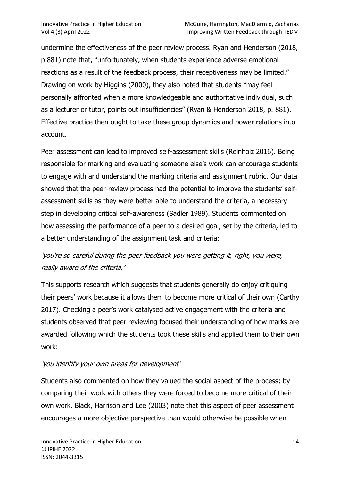undermine the effectiveness of the peer review process. Ryan and Henderson (2018, p.881) note that, "unfortunately, when students experience adverse emotional reactions as a result of the feedback process, their receptiveness may be limited." Drawing on work by Higgins (2000), they also noted that students "may feel personally affronted when a more knowledgeable and authoritative individual, such as a lecturer or tutor, points out insufficiencies" (Ryan & Henderson 2018, p. 881). Effective practice then ought to take these group dynamics and power relations into account.

Peer assessment can lead to improved self-assessment skills (Reinholz 2016). Being responsible for marking and evaluating someone else's work can encourage students to engage with and understand the marking criteria and assignment rubric. Our data showed that the peer-review process had the potential to improve the students' selfassessment skills as they were better able to understand the criteria, a necessary step in developing critical self-awareness (Sadler 1989). Students commented on how assessing the performance of a peer to a desired goal, set by the criteria, led to a better understanding of the assignment task and criteria:

# 'you're so careful during the peer feedback you were getting it, right, you were, really aware of the criteria.'

This supports research which suggests that students generally do enjoy critiquing their peers' work because it allows them to become more critical of their own (Carthy 2017). Checking a peer's work catalysed active engagement with the criteria and students observed that peer reviewing focused their understanding of how marks are awarded following which the students took these skills and applied them to their own work:

#### 'you identify your own areas for development'

Students also commented on how they valued the social aspect of the process; by comparing their work with others they were forced to become more critical of their own work. Black, Harrison and Lee (2003) note that this aspect of peer assessment encourages a more objective perspective than would otherwise be possible when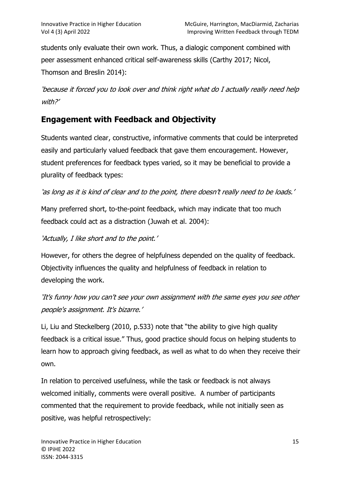students only evaluate their own work. Thus, a dialogic component combined with peer assessment enhanced critical self-awareness skills (Carthy 2017; Nicol, Thomson and Breslin 2014):

'because it forced you to look over and think right what do I actually really need help with?'

# Engagement with Feedback and Objectivity

Students wanted clear, constructive, informative comments that could be interpreted easily and particularly valued feedback that gave them encouragement. However, student preferences for feedback types varied, so it may be beneficial to provide a plurality of feedback types:

'as long as it is kind of clear and to the point, there doesn't really need to be loads.'

Many preferred short, to-the-point feedback, which may indicate that too much feedback could act as a distraction (Juwah et al. 2004):

'Actually, I like short and to the point.'

However, for others the degree of helpfulness depended on the quality of feedback. Objectivity influences the quality and helpfulness of feedback in relation to developing the work.

'It's funny how you can't see your own assignment with the same eyes you see other people's assignment. It's bizarre.'

Li, Liu and Steckelberg (2010, p.533) note that "the ability to give high quality feedback is a critical issue." Thus, good practice should focus on helping students to learn how to approach giving feedback, as well as what to do when they receive their own.

In relation to perceived usefulness, while the task or feedback is not always welcomed initially, comments were overall positive. A number of participants commented that the requirement to provide feedback, while not initially seen as positive, was helpful retrospectively: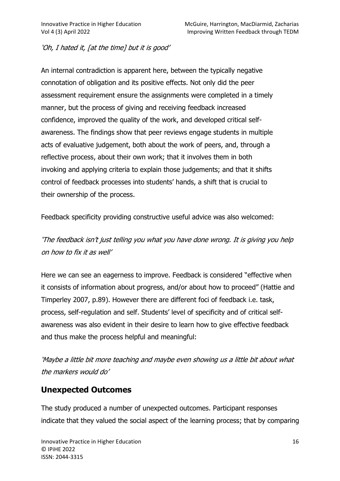#### 'Oh, I hated it, [at the time] but it is good'

An internal contradiction is apparent here, between the typically negative connotation of obligation and its positive effects. Not only did the peer assessment requirement ensure the assignments were completed in a timely manner, but the process of giving and receiving feedback increased confidence, improved the quality of the work, and developed critical selfawareness. The findings show that peer reviews engage students in multiple acts of evaluative judgement, both about the work of peers, and, through a reflective process, about their own work; that it involves them in both invoking and applying criteria to explain those judgements; and that it shifts control of feedback processes into students' hands, a shift that is crucial to their ownership of the process.

Feedback specificity providing constructive useful advice was also welcomed:

'The feedback isn't just telling you what you have done wrong. It is giving you help on how to fix it as well'

Here we can see an eagerness to improve. Feedback is considered "effective when it consists of information about progress, and/or about how to proceed" (Hattie and Timperley 2007, p.89). However there are different foci of feedback i.e. task, process, self-regulation and self. Students' level of specificity and of critical selfawareness was also evident in their desire to learn how to give effective feedback and thus make the process helpful and meaningful:

'Maybe a little bit more teaching and maybe even showing us a little bit about what the markers would do'

### Unexpected Outcomes

The study produced a number of unexpected outcomes. Participant responses indicate that they valued the social aspect of the learning process; that by comparing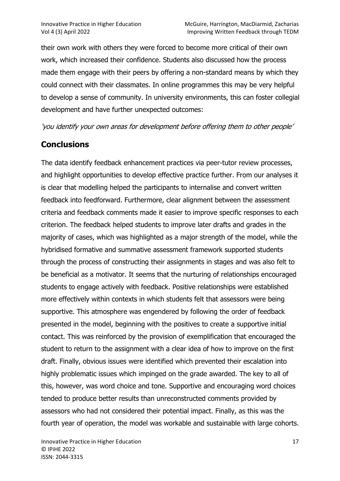their own work with others they were forced to become more critical of their own work, which increased their confidence. Students also discussed how the process made them engage with their peers by offering a non-standard means by which they could connect with their classmates. In online programmes this may be very helpful to develop a sense of community. In university environments, this can foster collegial development and have further unexpected outcomes:

'you identify your own areas for development before offering them to other people'

### **Conclusions**

The data identify feedback enhancement practices via peer-tutor review processes, and highlight opportunities to develop effective practice further. From our analyses it is clear that modelling helped the participants to internalise and convert written feedback into feedforward. Furthermore, clear alignment between the assessment criteria and feedback comments made it easier to improve specific responses to each criterion. The feedback helped students to improve later drafts and grades in the majority of cases, which was highlighted as a major strength of the model, while the hybridised formative and summative assessment framework supported students through the process of constructing their assignments in stages and was also felt to be beneficial as a motivator. It seems that the nurturing of relationships encouraged students to engage actively with feedback. Positive relationships were established more effectively within contexts in which students felt that assessors were being supportive. This atmosphere was engendered by following the order of feedback presented in the model, beginning with the positives to create a supportive initial contact. This was reinforced by the provision of exemplification that encouraged the student to return to the assignment with a clear idea of how to improve on the first draft. Finally, obvious issues were identified which prevented their escalation into highly problematic issues which impinged on the grade awarded. The key to all of this, however, was word choice and tone. Supportive and encouraging word choices tended to produce better results than unreconstructed comments provided by assessors who had not considered their potential impact. Finally, as this was the fourth year of operation, the model was workable and sustainable with large cohorts.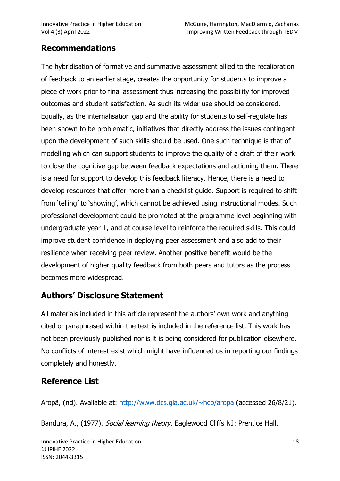## Recommendations

The hybridisation of formative and summative assessment allied to the recalibration of feedback to an earlier stage, creates the opportunity for students to improve a piece of work prior to final assessment thus increasing the possibility for improved outcomes and student satisfaction. As such its wider use should be considered. Equally, as the internalisation gap and the ability for students to self-regulate has been shown to be problematic, initiatives that directly address the issues contingent upon the development of such skills should be used. One such technique is that of modelling which can support students to improve the quality of a draft of their work to close the cognitive gap between feedback expectations and actioning them. There is a need for support to develop this feedback literacy. Hence, there is a need to develop resources that offer more than a checklist guide. Support is required to shift from 'telling' to 'showing', which cannot be achieved using instructional modes. Such professional development could be promoted at the programme level beginning with undergraduate year 1, and at course level to reinforce the required skills. This could improve student confidence in deploying peer assessment and also add to their resilience when receiving peer review. Another positive benefit would be the development of higher quality feedback from both peers and tutors as the process becomes more widespread.

### Authors' Disclosure Statement

All materials included in this article represent the authors' own work and anything cited or paraphrased within the text is included in the reference list. This work has not been previously published nor is it is being considered for publication elsewhere. No conflicts of interest exist which might have influenced us in reporting our findings completely and honestly.

# Reference List

Aropä, (nd). Available at: http://www.dcs.gla.ac.uk/~hcp/aropa (accessed 26/8/21).

Bandura, A., (1977). Social learning theory. Eaglewood Cliffs NJ: Prentice Hall.

Innovative Practice in Higher Education 18 © IPiHE 2022 ISSN: 2044-3315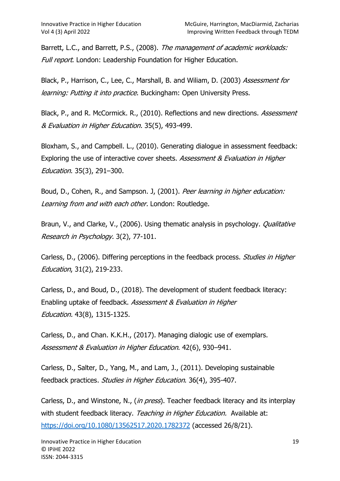Barrett, L.C., and Barrett, P.S., (2008). The management of academic workloads: Full report. London: Leadership Foundation for Higher Education.

Black, P., Harrison, C., Lee, C., Marshall, B. and Wiliam, D. (2003) Assessment for learning: Putting it into practice. Buckingham: Open University Press.

Black, P., and R. McCormick. R., (2010). Reflections and new directions. Assessment & Evaluation in Higher Education. 35(5), 493-499.

Bloxham, S., and Campbell. L., (2010). Generating dialogue in assessment feedback: Exploring the use of interactive cover sheets. Assessment & Evaluation in Higher Education. 35(3), 291–300.

Boud, D., Cohen, R., and Sampson. J, (2001). Peer learning in higher education: Learning from and with each other. London: Routledge.

Braun, V., and Clarke, V., (2006). Using thematic analysis in psychology. *Qualitative* Research in Psychology. 3(2), 77-101.

Carless, D., (2006). Differing perceptions in the feedback process. Studies in Higher Education, 31(2), 219-233.

Carless, D., and Boud, D., (2018). The development of student feedback literacy: Enabling uptake of feedback. Assessment & Evaluation in Higher Education. 43(8), 1315-1325.

Carless, D., and Chan. K.K.H., (2017). Managing dialogic use of exemplars. Assessment & Evaluation in Higher Education. 42(6), 930–941.

Carless, D., Salter, D., Yang, M., and Lam, J., (2011). Developing sustainable feedback practices. Studies in Higher Education. 36(4), 395-407.

Carless, D., and Winstone, N., (in press). Teacher feedback literacy and its interplay with student feedback literacy. Teaching in Higher Education. Available at: https://doi.org/10.1080/13562517.2020.1782372 (accessed 26/8/21).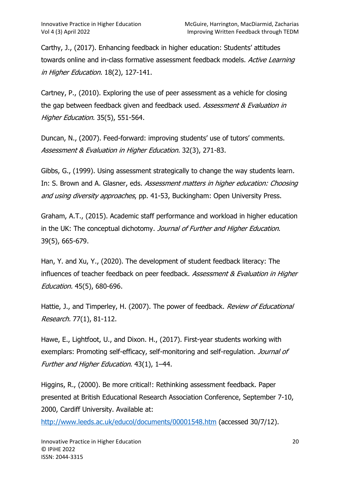Carthy, J., (2017). Enhancing feedback in higher education: Students' attitudes towards online and in-class formative assessment feedback models. Active Learning in Higher Education. 18(2), 127-141.

Cartney, P., (2010). Exploring the use of peer assessment as a vehicle for closing the gap between feedback given and feedback used. Assessment & Evaluation in Higher Education. 35(5), 551-564.

Duncan, N., (2007). Feed-forward: improving students' use of tutors' comments. Assessment & Evaluation in Higher Education. 32(3), 271-83.

Gibbs, G., (1999). Using assessment strategically to change the way students learn. In: S. Brown and A. Glasner, eds. Assessment matters in higher education: Choosing and using diversity approaches, pp. 41-53, Buckingham: Open University Press.

Graham, A.T., (2015). Academic staff performance and workload in higher education in the UK: The conceptual dichotomy. Journal of Further and Higher Education. 39(5), 665-679.

Han, Y. and Xu, Y., (2020). The development of student feedback literacy: The influences of teacher feedback on peer feedback. Assessment & Evaluation in Higher Education. 45(5), 680-696.

Hattie, J., and Timperley, H. (2007). The power of feedback. Review of Educational Research. 77(1), 81-112.

Hawe, E., Lightfoot, U., and Dixon. H., (2017). First-year students working with exemplars: Promoting self-efficacy, self-monitoring and self-regulation. Journal of Further and Higher Education. 43(1), 1–44.

Higgins, R., (2000). Be more critical!: Rethinking assessment feedback. Paper presented at British Educational Research Association Conference, September 7-10, 2000, Cardiff University. Available at:

http://www.leeds.ac.uk/educol/documents/00001548.htm (accessed 30/7/12).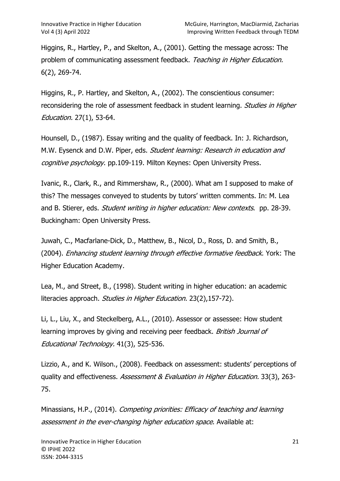Higgins, R., Hartley, P., and Skelton, A., (2001). Getting the message across: The problem of communicating assessment feedback. Teaching in Higher Education. 6(2), 269-74.

Higgins, R., P. Hartley, and Skelton, A., (2002). The conscientious consumer: reconsidering the role of assessment feedback in student learning. Studies in Higher Education. 27(1), 53-64.

Hounsell, D., (1987). Essay writing and the quality of feedback. In: J. Richardson, M.W. Eysenck and D.W. Piper, eds. Student learning: Research in education and cognitive psychology. pp.109-119. Milton Keynes: Open University Press.

Ivanic, R., Clark, R., and Rimmershaw, R., (2000). What am I supposed to make of this? The messages conveyed to students by tutors' written comments. In: M. Lea and B. Stierer, eds. *Student writing in higher education: New contexts*. pp. 28-39. Buckingham: Open University Press.

Juwah, C., Macfarlane-Dick, D., Matthew, B., Nicol, D., Ross, D. and Smith, B., (2004). Enhancing student learning through effective formative feedback. York: The Higher Education Academy.

Lea, M., and Street, B., (1998). Student writing in higher education: an academic literacies approach. Studies in Higher Education. 23(2),157-72).

Li, L., Liu, X., and Steckelberg, A.L., (2010). Assessor or assessee: How student learning improves by giving and receiving peer feedback. British Journal of Educational Technology. 41(3), 525-536.

Lizzio, A., and K. Wilson., (2008). Feedback on assessment: students' perceptions of quality and effectiveness. Assessment & Evaluation in Higher Education. 33(3), 263- 75.

Minassians, H.P., (2014). Competing priorities: Efficacy of teaching and learning assessment in the ever-changing higher education space. Available at: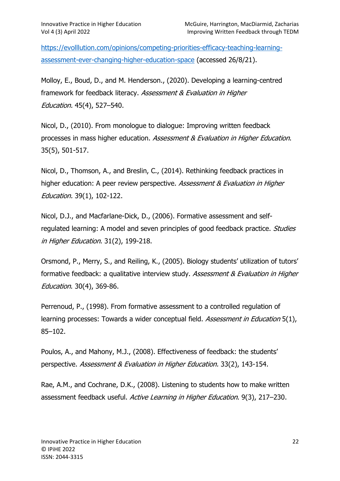https://evolllution.com/opinions/competing-priorities-efficacy-teaching-learningassessment-ever-changing-higher-education-space (accessed 26/8/21).

Molloy, E., Boud, D., and M. Henderson., (2020). Developing a learning-centred framework for feedback literacy. Assessment & Evaluation in Higher Education. 45(4), 527–540.

Nicol, D., (2010). From monologue to dialogue: Improving written feedback processes in mass higher education. Assessment & Evaluation in Higher Education. 35(5), 501-517.

Nicol, D., Thomson, A., and Breslin, C., (2014). Rethinking feedback practices in higher education: A peer review perspective. Assessment & Evaluation in Higher Education. 39(1), 102-122.

Nicol, D.J., and Macfarlane-Dick, D., (2006). Formative assessment and selfregulated learning: A model and seven principles of good feedback practice. *Studies* in Higher Education. 31(2), 199-218.

Orsmond, P., Merry, S., and Reiling, K., (2005). Biology students' utilization of tutors' formative feedback: a qualitative interview study. Assessment & Evaluation in Higher Education. 30(4), 369-86.

Perrenoud, P., (1998). From formative assessment to a controlled regulation of learning processes: Towards a wider conceptual field. Assessment in Education 5(1), 85–102.

Poulos, A., and Mahony, M.J., (2008). Effectiveness of feedback: the students' perspective. Assessment & Evaluation in Higher Education. 33(2), 143-154.

Rae, A.M., and Cochrane, D.K., (2008). Listening to students how to make written assessment feedback useful. Active Learning in Higher Education. 9(3), 217–230.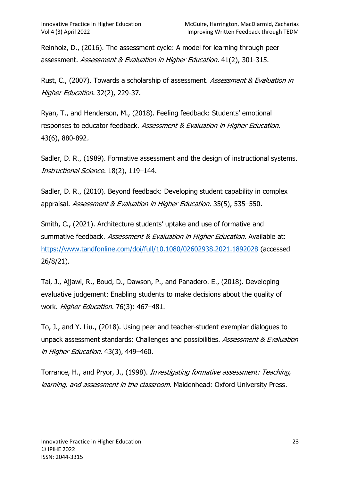Reinholz, D., (2016). The assessment cycle: A model for learning through peer assessment. Assessment & Evaluation in Higher Education. 41(2), 301-315.

Rust, C., (2007). Towards a scholarship of assessment. Assessment & Evaluation in Higher Education. 32(2), 229-37.

Ryan, T., and Henderson, M., (2018). Feeling feedback: Students' emotional responses to educator feedback. Assessment & Evaluation in Higher Education. 43(6), 880-892.

Sadler, D. R., (1989). Formative assessment and the design of instructional systems. Instructional Science. 18(2), 119–144.

Sadler, D. R., (2010). Beyond feedback: Developing student capability in complex appraisal. Assessment & Evaluation in Higher Education. 35(5), 535–550.

Smith, C., (2021). Architecture students' uptake and use of formative and summative feedback. Assessment & Evaluation in Higher Education. Available at: https://www.tandfonline.com/doi/full/10.1080/02602938.2021.1892028 (accessed 26/8/21).

Tai, J., Ajjawi, R., Boud, D., Dawson, P., and Panadero. E., (2018). Developing evaluative judgement: Enabling students to make decisions about the quality of work. Higher Education. 76(3): 467–481.

To, J., and Y. Liu., (2018). Using peer and teacher-student exemplar dialogues to unpack assessment standards: Challenges and possibilities. Assessment & Evaluation in Higher Education. 43(3), 449–460.

Torrance, H., and Pryor, J., (1998). Investigating formative assessment: Teaching, learning, and assessment in the classroom. Maidenhead: Oxford University Press.